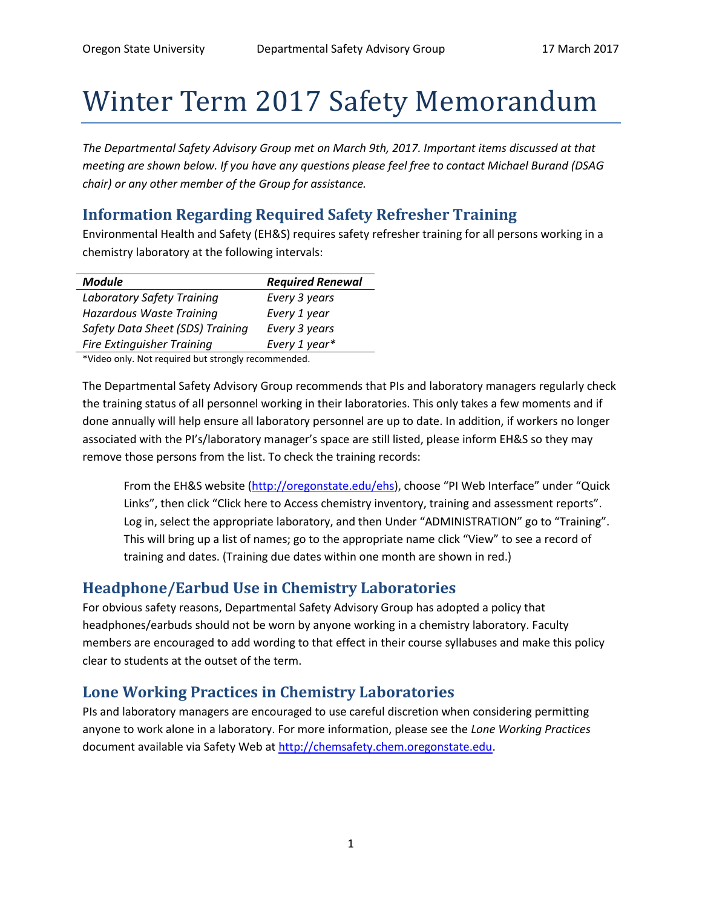# Winter Term 2017 Safety Memorandum

*The Departmental Safety Advisory Group met on March 9th, 2017. Important items discussed at that meeting are shown below. If you have any questions please feel free to contact Michael Burand (DSAG chair) or any other member of the Group for assistance.*

### **Information Regarding Required Safety Refresher Training**

Environmental Health and Safety (EH&S) requires safety refresher training for all persons working in a chemistry laboratory at the following intervals:

| <b>Module</b>                     | <b>Required Renewal</b> |
|-----------------------------------|-------------------------|
| Laboratory Safety Training        | Every 3 years           |
| Hazardous Waste Training          | Every 1 year            |
| Safety Data Sheet (SDS) Training  | Every 3 years           |
| <b>Fire Extinguisher Training</b> | Every 1 year*           |

\*Video only. Not required but strongly recommended.

The Departmental Safety Advisory Group recommends that PIs and laboratory managers regularly check the training status of all personnel working in their laboratories. This only takes a few moments and if done annually will help ensure all laboratory personnel are up to date. In addition, if workers no longer associated with the PI's/laboratory manager's space are still listed, please inform EH&S so they may remove those persons from the list. To check the training records:

From the EH&S website [\(http://oregonstate.edu/ehs](http://oregonstate.edu/ehs)), choose "PI Web Interface" under "Quick Links", then click "Click here to Access chemistry inventory, training and assessment reports". Log in, select the appropriate laboratory, and then Under "ADMINISTRATION" go to "Training". This will bring up a list of names; go to the appropriate name click "View" to see a record of training and dates. (Training due dates within one month are shown in red.)

## **Headphone/Earbud Use in Chemistry Laboratories**

For obvious safety reasons, Departmental Safety Advisory Group has adopted a policy that headphones/earbuds should not be worn by anyone working in a chemistry laboratory. Faculty members are encouraged to add wording to that effect in their course syllabuses and make this policy clear to students at the outset of the term.

## **Lone Working Practices in Chemistry Laboratories**

PIs and laboratory managers are encouraged to use careful discretion when considering permitting anyone to work alone in a laboratory. For more information, please see the *Lone Working Practices* document available via Safety Web at [http://chemsafety.chem.oregonstate.edu.](http://chemsafety.chem.oregonstate.edu/)